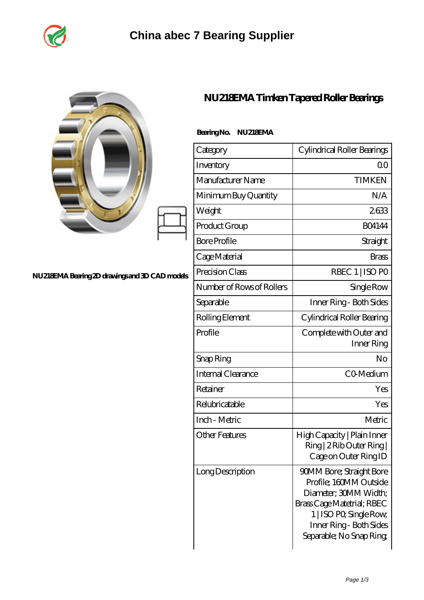

|                                                |                           | NU218EMA Timken Tapered Roller Bearings                                                                                                                                                           |
|------------------------------------------------|---------------------------|---------------------------------------------------------------------------------------------------------------------------------------------------------------------------------------------------|
|                                                | BearingNo.<br>NU218EMA    |                                                                                                                                                                                                   |
|                                                | Category                  | Cylindrical Roller Bearings                                                                                                                                                                       |
|                                                | Inventory                 | 0 <sub>0</sub>                                                                                                                                                                                    |
|                                                | Manufacturer Name         | <b>TIMKEN</b>                                                                                                                                                                                     |
|                                                | Minimum Buy Quantity      | N/A                                                                                                                                                                                               |
|                                                | Weight                    | 2633                                                                                                                                                                                              |
|                                                | Product Group             | <b>BO4144</b>                                                                                                                                                                                     |
|                                                | <b>Bore Profile</b>       | Straight                                                                                                                                                                                          |
|                                                | Cage Material             | <b>Brass</b>                                                                                                                                                                                      |
| NU218EMA Bearing 2D drawings and 3D CAD models | Precision Class           | RBEC 1   ISO PO                                                                                                                                                                                   |
|                                                | Number of Rows of Rollers | Single Row                                                                                                                                                                                        |
|                                                | Separable                 | Inner Ring - Both Sides                                                                                                                                                                           |
|                                                | Rolling Element           | Cylindrical Roller Bearing                                                                                                                                                                        |
|                                                | Profile                   | Complete with Outer and<br>Inner Ring                                                                                                                                                             |
|                                                | Snap Ring                 | No                                                                                                                                                                                                |
|                                                | Internal Clearance        | CO-Medium                                                                                                                                                                                         |
|                                                | Retainer                  | Yes                                                                                                                                                                                               |
|                                                | Relubricatable            | Yes                                                                                                                                                                                               |
|                                                | Inch - Metric             | Metric                                                                                                                                                                                            |
|                                                | <b>Other Features</b>     | High Capacity   Plain Inner<br>Ring   2 Rib Outer Ring  <br>Cage on Outer Ring ID                                                                                                                 |
|                                                | Long Description          | <b>90MM Bore; Straight Bore</b><br>Profile; 160MM Outside<br>Diameter; 30MM Width;<br>Brass Cage Matetrial; RBEC<br>1   ISO PO, Single Row,<br>Inner Ring - Both Sides<br>Separable; No Snap Ring |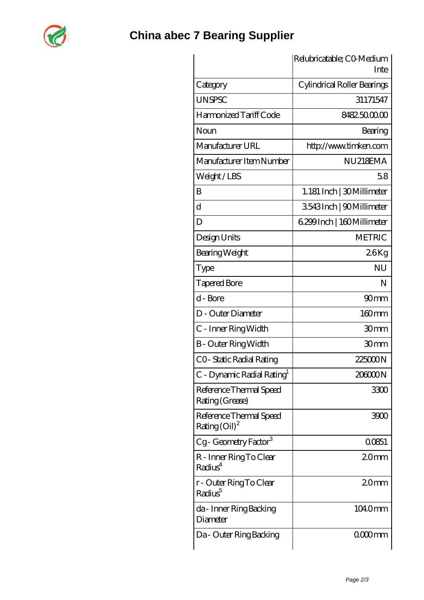

|                                                               | Relubricatable; CO-Medium<br>Inte |  |
|---------------------------------------------------------------|-----------------------------------|--|
| Category                                                      | Cylindrical Roller Bearings       |  |
| <b>UNSPSC</b>                                                 | 31171547                          |  |
| Harmonized Tariff Code                                        | 8482500000                        |  |
| Noun                                                          | Bearing                           |  |
| Manufacturer URL                                              | http://www.timken.com             |  |
| Manufacturer Item Number                                      | NU218EMA                          |  |
| Weight/LBS                                                    | 58                                |  |
| B                                                             | 1.181 Inch   30 Millimeter        |  |
| $\mathbf d$                                                   | 3543Inch   90Millimeter           |  |
| D                                                             | 6.299 Inch   160 Millimeter       |  |
| Design Units                                                  | <b>METRIC</b>                     |  |
| Bearing Weight                                                | 26Kg                              |  |
| Type                                                          | <b>NU</b>                         |  |
| <b>Tapered Bore</b>                                           | N                                 |  |
| d - Bore                                                      | 90 <sub>mm</sub>                  |  |
| D - Outer Diameter                                            | 160mm                             |  |
| C - Inner Ring Width                                          | 30mm                              |  |
| <b>B</b> - Outer Ring Width                                   | 30 <sub>mm</sub>                  |  |
| CO-Static Radial Rating                                       | 225000N                           |  |
| C - Dynamic Radial Rating <sup>1</sup>                        | 20000N                            |  |
| Reference Thermal Speed<br>Rating (Grease)                    | 3300                              |  |
| Reference Thermal Speed<br>Rating $\left(\text{Oil}\right)^2$ | 3900                              |  |
| Cg-Geometry Factor <sup>3</sup>                               | 00851                             |  |
| R - Inner Ring To Clear<br>Radius <sup>4</sup>                | 20 <sub>mm</sub>                  |  |
| r - Outer Ring To Clear<br>Radius <sup>5</sup>                | 20 <sub>mm</sub>                  |  |
| da - Inner Ring Backing<br>Diameter                           | 1040mm                            |  |
| Da - Outer Ring Backing                                       | 0000mm                            |  |